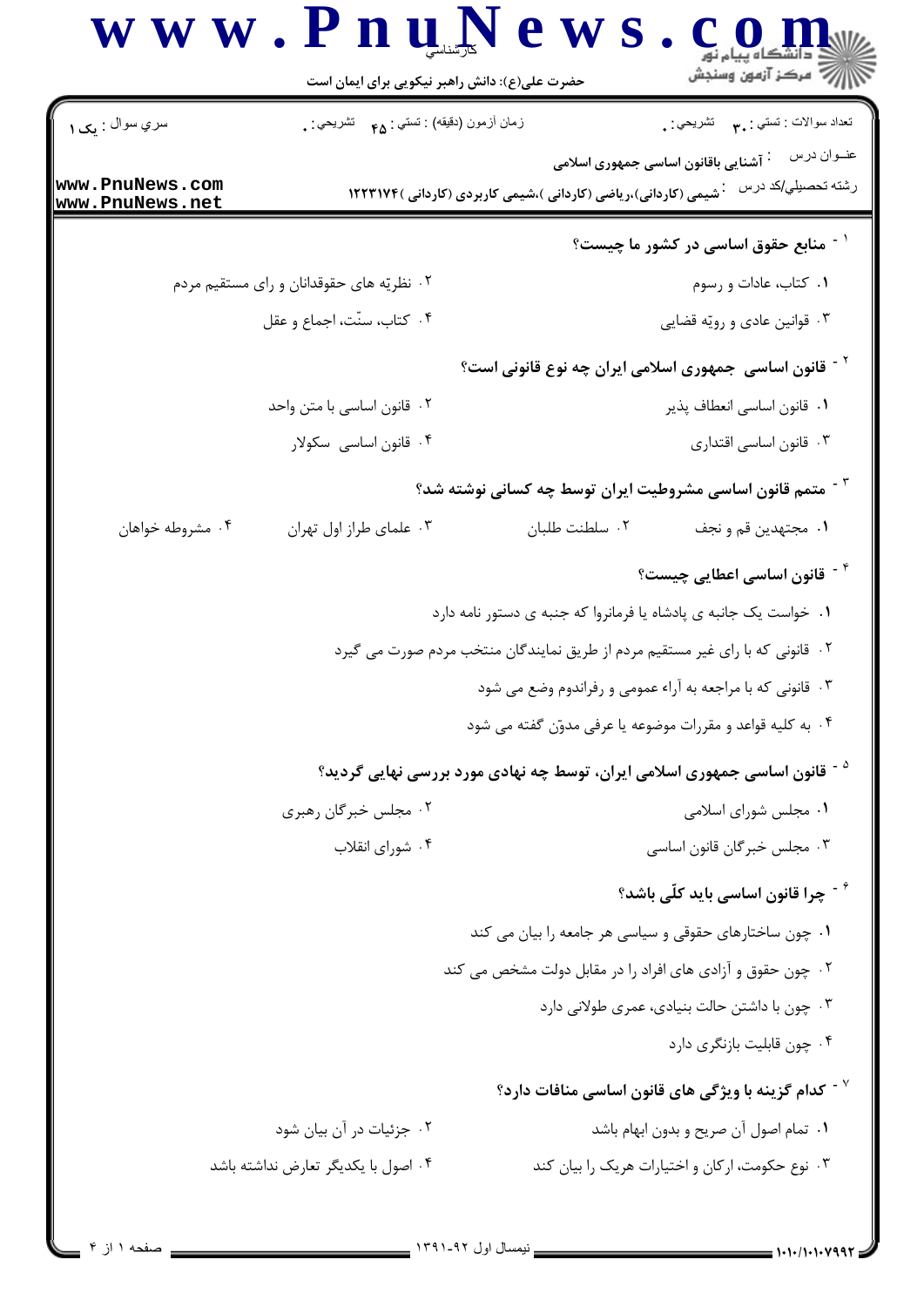|                                           | حضرت علی(ع): دانش راهبر نیکویی برای ایمان است       | رآب مرڪز آزمون وسنڊش                                                                                                                                    |  |
|-------------------------------------------|-----------------------------------------------------|---------------------------------------------------------------------------------------------------------------------------------------------------------|--|
| سري سوال : يک ۱                           | زمان أزمون (دقيقه) : تستي : ۴۵ $\bullet$ تشريحي : . | نعداد سوالات : تستبي : پم       تشريحي : <sub>.</sub>                                                                                                   |  |
| www.PnuNews.com<br>www.PnuNews.net        |                                                     | عنــوان درس<br><sup>:</sup> آشنایی باقانون اساسی جمهوری اسلامی<br>رشته تحصیلي/کد در س۔ ` شیمی (کاردانی)،ریاضی (کاردانی )،شیمی کاربردی (کاردانی )۱۲۲۳۱۷۴ |  |
|                                           |                                                     | <sup>۱ -</sup> منابع حقوق اساسی در کشور ما چیست؟                                                                                                        |  |
| ۰۲ نظریّه های حقوقدانان و رای مستقیم مردم |                                                     | ۰۱ كتاب، عادات و رسوم                                                                                                                                   |  |
|                                           | ۰۴ کتاب، سنّت، اجماع و عقل                          | ۰۳ قوانین عادی و رویّه قضایی                                                                                                                            |  |
|                                           |                                                     | <sup>۲ -</sup> قانون اساسی  جمهوری اسلامی ایران چه نوع قانونی است؟                                                                                      |  |
| ۰۲ قانون اساسی با متن واحد                |                                                     | ٠١ قانون اساسي انعطاف پذير                                                                                                                              |  |
|                                           | ۰۴ قانون اساسی سکولار                               | ۰۳ قانون اساسی اقتداری                                                                                                                                  |  |
|                                           |                                                     | <sup>۳ -</sup> متمم قانون اساسی مشروطیت ایران توسط چه کسانی نوشته شد؟                                                                                   |  |
| ۰۴ مشروطه خواهان                          | ۰۳ علمای طراز اول تهران                             | ۰۱ مجتهدين قم و نجف<br>٠٢ سلطنت طلبان                                                                                                                   |  |
|                                           |                                                     | <sup>۴ -</sup> قانون اساسی اعطایی چیست؟                                                                                                                 |  |
|                                           |                                                     | ۰۱ خواست یک جانبه ی پادشاه یا فرمانروا که جنبه ی دستور نامه دارد                                                                                        |  |
|                                           |                                                     | ۰۲ قانونی که با رای غیر مستقیم مردم از طریق نمایندگان منتخب مردم صورت می گیرد                                                                           |  |
|                                           |                                                     | ۰۳ قانونی که با مراجعه به آراء عمومی و رفراندوم وضع می شود                                                                                              |  |
|                                           |                                                     | ۰۴ به کلیه قواعد و مقررات موضوعه یا عرفی مدوّن گفته می شود                                                                                              |  |
|                                           |                                                     | <sup>۵ -</sup> قانون اساسی جمهوری اسلامی ایران، توسط چه نهادی مورد بررسی نهایی گردید؟                                                                   |  |
| ۰۲ مجلس خبرگان رهبری                      |                                                     | ۰۱ مجلس شورای اسلامی                                                                                                                                    |  |
|                                           | ۰۴ شورای انقلاب                                     | ۰۳ مجلس خبرگان قانون اساسی                                                                                                                              |  |
|                                           |                                                     | ی - چرا قانون اساسی باید کلّی باشد $^{\circ}$                                                                                                           |  |
|                                           |                                                     | ۰۱ چون ساختارهای حقوقی و سیاسی هر جامعه را بیان می کند                                                                                                  |  |
|                                           |                                                     | ۰۲ چون حقوق و آزادی های افراد را در مقابل دولت مشخص می کند                                                                                              |  |
|                                           |                                                     | ۰۳ چون با داشتن حالت بنیادی، عمری طولانی دارد                                                                                                           |  |
|                                           |                                                     | ۰۴ چون قابلیت بازنگری دارد                                                                                                                              |  |
|                                           |                                                     | $^{\circ}$ کدام گزینه با ویژگی های قانون اساسی منافات دارد $^{\circ}$                                                                                   |  |
|                                           | ۰۲ جزئیات در آن بیان شود                            | ٠١ تمام اصول آن صريح و بدون ابهام باشد                                                                                                                  |  |
|                                           | ۰۴ اصول با یکدیگر تعارض نداشته باشد                 | ۰۳ نوع حکومت، ارکان و اختیارات هریک را بیان کند                                                                                                         |  |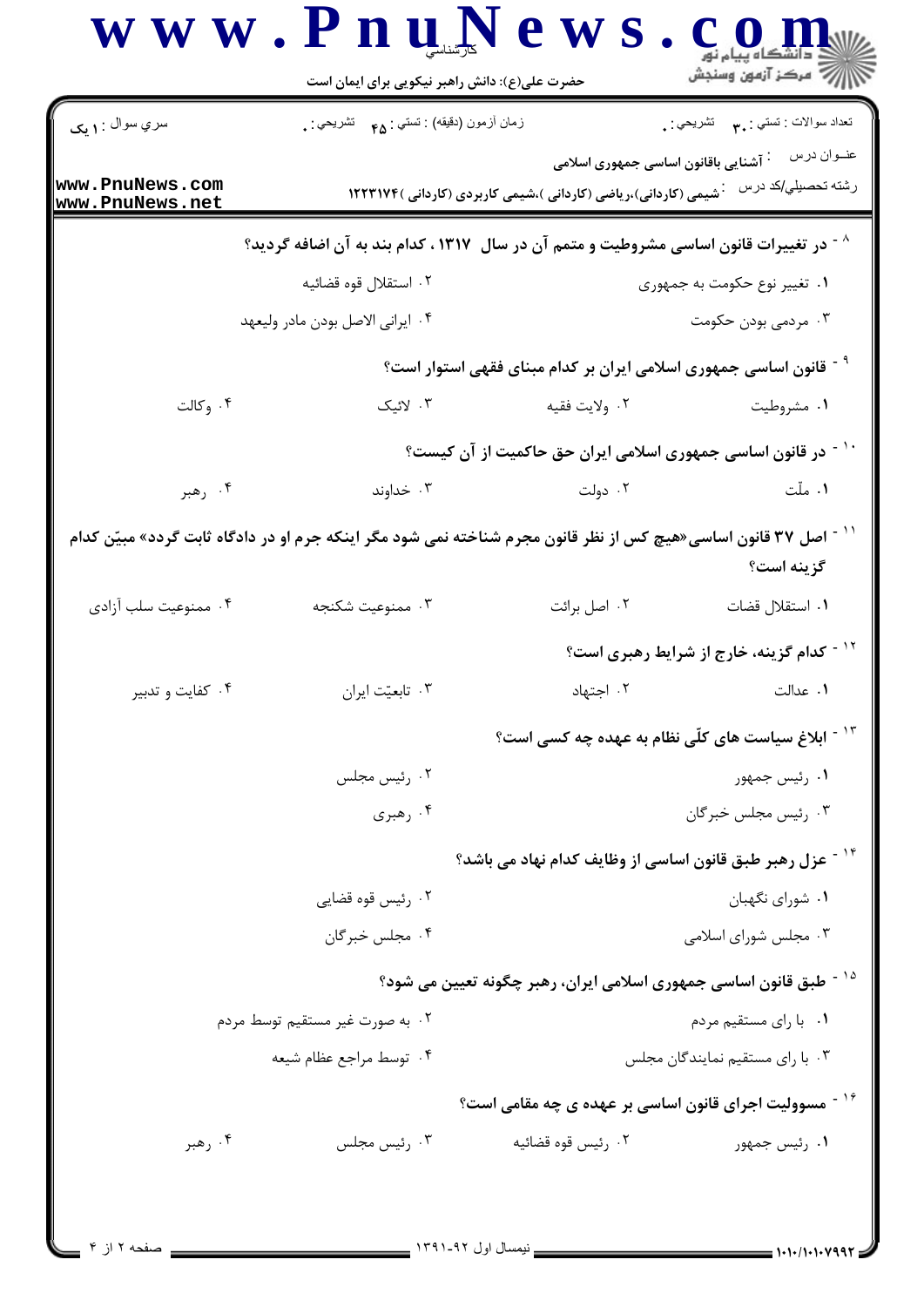|                                    | حضرت علی(ع): دانش راهبر نیکویی برای ایمان است                                                                              |                                                                                                                   | أأأأ " مركز آزمون وسنجش                    |
|------------------------------------|----------------------------------------------------------------------------------------------------------------------------|-------------------------------------------------------------------------------------------------------------------|--------------------------------------------|
| سري سوال : ۱ يک                    | زمان أزمون (دقيقه) : تستى : ۴۵ $\bullet$ تشريحي : .                                                                        |                                                                                                                   | تعداد سوالات : تستي : پم       تشريحي : .  |
| www.PnuNews.com<br>www.PnuNews.net |                                                                                                                            | <sup>:</sup> آشنایی باقانون اساسی جمهوری اسلامی<br>شیمی (کاردانی)،ریاضی (کاردانی )،شیمی کاربردی (کاردانی )۱۲۲۳۱۷۴ | عنــوان درس<br>رشته تحصيل <i>ي </i> كد درس |
|                                    | <sup>^ -</sup> در تغییرات قانون اساسی مشروطیت و متمم آن در سال ۱۳۱۷ ، کدام بند به آن اضافه گردید؟                          |                                                                                                                   |                                            |
|                                    | ۰۲ استقلال قوه قضائيه                                                                                                      |                                                                                                                   | ۰۱ تغییر نوع حکومت به جمهوری               |
|                                    | ۰۴ ايراني الاصل بودن مادر وليعهد                                                                                           |                                                                                                                   | ۰۳ مردمی بودن حکومت                        |
|                                    |                                                                                                                            | <sup>٦</sup> <sup>-</sup> قانون اساسی جمهوری اسلامی ایران بر کدام مبنای فقهی استوار است؟                          |                                            |
| ۰۴ وكالت                           | ۰۳ لائيک                                                                                                                   | ۰۲ ولايت فقيه                                                                                                     | ۰۱ مشروطيت                                 |
|                                    |                                                                                                                            | ً ` ` در قانون اساسی جمهوری اسلامی ایران حق حاکمیت از آن کیست؟                                                    |                                            |
| ۰۴ رهبر                            | ۰۳ خداوند                                                                                                                  | ۰۲ دولت                                                                                                           | ۰۱ ملّت                                    |
|                                    | <sup>۱ -</sup> اصل ۳۷ قانون اساسی«هیچ کس از نظر قانون مجرم شناخته نمی شود مگر اینکه جرم او در دادگاه ثابت گردد» مبیّن کدام |                                                                                                                   | گزینه است؟                                 |
| ۰۴ ممنوعیت سلب آزادی               | ۰۳ ممنوعيت شكنجه                                                                                                           | ٠٢ اصل برائت                                                                                                      | ٠١ استقلال قضات                            |
|                                    |                                                                                                                            |                                                                                                                   | `` - كدام گزينه، خارج از شرايط رهبرى است؟  |
| ۰۴ کفایت و تدبیر                   | ۰۳ تابعیّت ایران                                                                                                           | ٠٢ اجتهاد                                                                                                         | ٠١. عدالت                                  |
|                                    |                                                                                                                            | ۱۳ <sup>-</sup> ابلاغ سیاست های کلّی نظام به عهده چه کسی است؟                                                     |                                            |
|                                    | ۰۲ رئیس مجلس                                                                                                               |                                                                                                                   | ۰۱ رئیس جمهور                              |
|                                    | ۰۴ رهبري                                                                                                                   |                                                                                                                   | ۰۳ رئیس مجلس خبرگان                        |
|                                    |                                                                                                                            | <sup>۱۴ -</sup> عزل رهبر طبق قانون اساسی از وظایف کدام نهاد می باشد؟                                              |                                            |
|                                    | ۰۲ رئیس قوه قضایی                                                                                                          |                                                                                                                   | ۰۱ شورای نگهبان                            |
|                                    | ۰۴ مجلس خبرگان                                                                                                             |                                                                                                                   | ۰۳ مجلس شورای اسلامی                       |
|                                    |                                                                                                                            | <sup>۱۵ -</sup> طبق قانون اساسی جمهوری اسلامی ایران، رهبر چگونه تعیین می شود؟                                     |                                            |
|                                    | ۰۲ به صورت غیر مستقیم توسط مردم                                                                                            |                                                                                                                   | ۰۱ با رای مستقیم مردم                      |
|                                    | ۰۴ توسط مراجع عظام شيعه                                                                                                    |                                                                                                                   | ۰۳ با رای مستقیم نمایندگان مجلس            |
|                                    |                                                                                                                            | <sup>۱۶ -</sup> مسوولیت اجرای قانون اساسی بر عهده ی چه مقامی است؟                                                 |                                            |
| ۰۴ رهبر                            | ۰۳ رئیس مجلس                                                                                                               | ۰۲ رئيس قوه قضائيه                                                                                                | ۰۱ رئیس جمهور                              |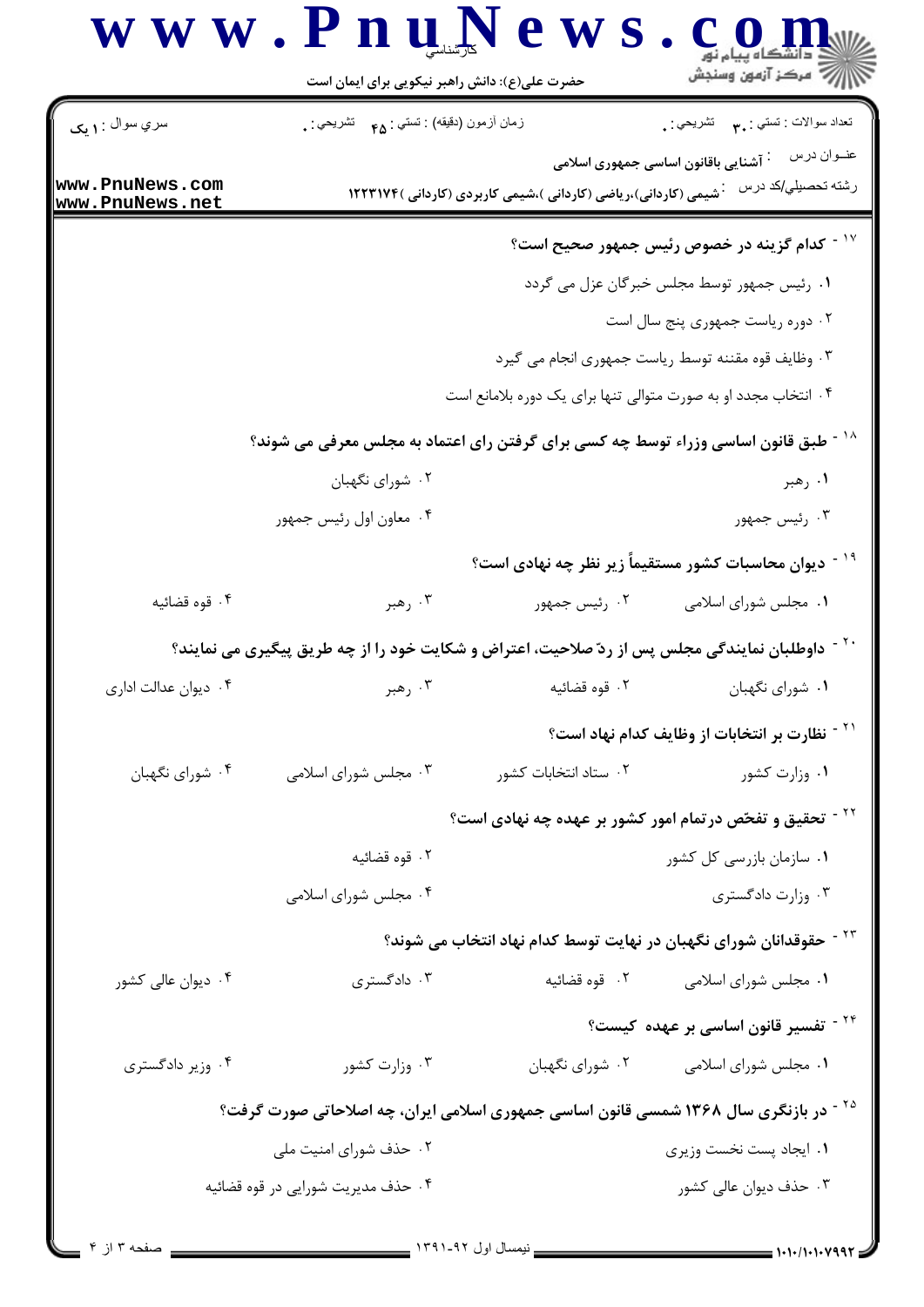## www.PnuNews.com حضرت علی(ع): دانش راهبر نیکویی برای ایمان است

نعداد سوالات : تستبي **: ٣,** تشريحي : . سري سوال : ۱ وي زمان أزمون (دقيقه) : تستي : <sub>۴۸</sub> تشريحي : <sub>.</sub> عنـوان درس د مستقایی باقانون اساسی جمهوری اسلامی رشته تحصیلی/کد درس عشیمی (کاردانی)،ریاضی (کاردانی )،شیمی کاربردی (کاردانی ) ۱۲۲۳۱۷۴ www.PnuNews.com www.PnuNews.net د - کدام گزینه در خصوص رئیس جمهور صحیح است؟  $^{\circ}$ ۰۱ رئيس جمهور توسط مجلس خبرگان عزل مي گردد ۰۲ دوره ریاست جمهوری پنج سال است ۰۳ وظایف قوه مقننه توسط ریاست جمهوری انجام می گیرد ۰۴ انتخاب مجدد او به صورت متوالی تنها برای یک دوره بلامانع است <sup>۱۸ -</sup> طبق قانون اساسی وزراء توسط چه کسی برای گرفتن رای اعتماد به مجلس معرفی می شوند؟ ۰۱ رهبر ۰۲ شورای نگهبان ۰۴ معاون اول رئيس جمهور ۰۳ رئیس جمهور <sup>۱۹ -</sup> دیوان محاسبات کشور مستقیماً زیر نظر چه نهادی است؟ ۰۴ قوه قضائیه ۰۳ رهبر ۰۱ مجلس شورای اسلامی **۲۰۰۰ رئیس جمهور** <sup>۲۰ -</sup> داوطلبان نمایندگی مجلس پس از ردّ صلاحیت، اعتراض و شکایت خود را از چه طریق پیگیری می نمایند؟ ۰۴ دیوان عدالت اداری ۰۲ قوه قضائیه ۰۳ رهبر ۰۱ شورای نگهبان <sup>۲۱ -</sup> نظارت بر انتخابات از وظایف کدام نهاد است؟ ۰۲ ستاد انتخابات کشو, ۰۴ شورای نگهبان ۰۳ مجلس شورای اسلامی ۰۱ وزارت کشور <sup>۲۲ -</sup> تحقیق و تفحّص در تمام امور کشور بر عهده چه نهادی است؟ ۰۲ قوه قضائیه ۰۱ سازمان بازرسی کل کشور ۰۴ مجلس شورای اسلامی ۰۳ وزارت دادگستری <sup>۲۲ -</sup> حقوقدانان شورای نگهبان در نهایت توسط کدام نهاد انتخاب می شوند؟ ۰۳ دادگستری ۰۱ مجلس شورای اسلامی سیسم ۲۰ قوه قضائیه ۰۴ دیوان عال*ی* کشور <sup>۲۴ -</sup> تفسیر قانون اساسی بر عهده کیست؟ ۰۴ وزیر دادگستری ۰۱ مجلس شورای اسلامی مستمتح آن شورای نگهبان ۰۳ وزارت کشور <sup>۲۵ -</sup> در بازنگری سال ۱۳۶۸ شمسی قانون اساسی جمهوری اسلامی ایران، چه اصلاحاتی صورت گرفت؟ ۰۲ حذف شورای امنیت ملی ۰۱ ایجاد پست نخست وزیری ۴. حذف مديريت شورايي در قوه قضائيه ۰۳ حذف دیوان عالی کشور